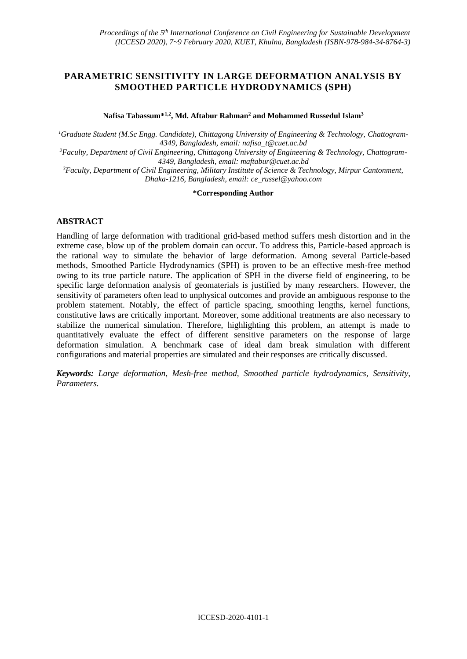# **PARAMETRIC SENSITIVITY IN LARGE DEFORMATION ANALYSIS BY SMOOTHED PARTICLE HYDRODYNAMICS (SPH)**

**Nafisa Tabassum\*1,2, Md. Aftabur Rahman<sup>2</sup> and Mohammed Russedul Islam<sup>3</sup>**

*<sup>1</sup>Graduate Student (M.Sc Engg. Candidate), Chittagong University of Engineering & Technology, Chattogram-4349, Bangladesh, email: [nafisa\\_t@cuet.ac.bd](mailto:nafisa_t@cuet.ac.bd)*

*2Faculty, Department of Civil Engineering, Chittagong University of Engineering & Technology, Chattogram-4349, Bangladesh, email: [maftabur@cuet.ac.bd](mailto:maftabur@cuet.ac.bd)*

*<sup>3</sup>Faculty, Department of Civil Engineering, Military Institute of Science & Technology, Mirpur Cantonment, Dhaka-1216, Bangladesh, email: ce\_russel@yahoo.com*

# **\*Corresponding Author**

# **ABSTRACT**

Handling of large deformation with traditional grid-based method suffers mesh distortion and in the extreme case, blow up of the problem domain can occur. To address this, Particle-based approach is the rational way to simulate the behavior of large deformation. Among several Particle-based methods, Smoothed Particle Hydrodynamics (SPH) is proven to be an effective mesh-free method owing to its true particle nature. The application of SPH in the diverse field of engineering, to be specific large deformation analysis of geomaterials is justified by many researchers. However, the sensitivity of parameters often lead to unphysical outcomes and provide an ambiguous response to the problem statement. Notably, the effect of particle spacing, smoothing lengths, kernel functions, constitutive laws are critically important. Moreover, some additional treatments are also necessary to stabilize the numerical simulation. Therefore, highlighting this problem, an attempt is made to quantitatively evaluate the effect of different sensitive parameters on the response of large deformation simulation. A benchmark case of ideal dam break simulation with different configurations and material properties are simulated and their responses are critically discussed.

*Keywords: Large deformation, Mesh-free method, Smoothed particle hydrodynamics, Sensitivity, Parameters.*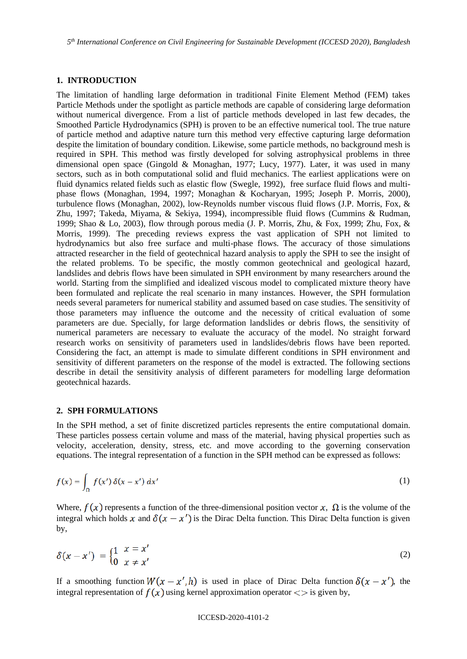## **1. INTRODUCTION**

The limitation of handling large deformation in traditional Finite Element Method (FEM) takes Particle Methods under the spotlight as particle methods are capable of considering large deformation without numerical divergence. From a list of particle methods developed in last few decades, the Smoothed Particle Hydrodynamics (SPH) is proven to be an effective numerical tool. The true nature of particle method and adaptive nature turn this method very effective capturing large deformation despite the limitation of boundary condition. Likewise, some particle methods, no background mesh is required in SPH. This method was firstly developed for solving astrophysical problems in three dimensional open space (Gingold & Monaghan, 1977; Lucy, 1977). Later, it was used in many sectors, such as in both computational solid and fluid mechanics. The earliest applications were on fluid dynamics related fields such as elastic flow (Swegle, 1992), free surface fluid flows and multiphase flows (Monaghan, 1994, 1997; Monaghan & Kocharyan, 1995; Joseph P. Morris, 2000), turbulence flows (Monaghan, 2002), low-Reynolds number viscous fluid flows (J.P. Morris, Fox, & Zhu, 1997; Takeda, Miyama, & Sekiya, 1994), incompressible fluid flows (Cummins & Rudman, 1999; Shao & Lo, 2003), flow through porous media (J. P. Morris, Zhu, & Fox, 1999; Zhu, Fox, & Morris, 1999). The preceding reviews express the vast application of SPH not limited to hydrodynamics but also free surface and multi-phase flows. The accuracy of those simulations attracted researcher in the field of geotechnical hazard analysis to apply the SPH to see the insight of the related problems. To be specific, the mostly common geotechnical and geological hazard, landslides and debris flows have been simulated in SPH environment by many researchers around the world. Starting from the simplified and idealized viscous model to complicated mixture theory have been formulated and replicate the real scenario in many instances. However, the SPH formulation needs several parameters for numerical stability and assumed based on case studies. The sensitivity of those parameters may influence the outcome and the necessity of critical evaluation of some parameters are due. Specially, for large deformation landslides or debris flows, the sensitivity of numerical parameters are necessary to evaluate the accuracy of the model. No straight forward research works on sensitivity of parameters used in landslides/debris flows have been reported. Considering the fact, an attempt is made to simulate different conditions in SPH environment and sensitivity of different parameters on the response of the model is extracted. The following sections describe in detail the sensitivity analysis of different parameters for modelling large deformation geotechnical hazards.

#### **2. SPH FORMULATIONS**

In the SPH method, a set of finite discretized particles represents the entire computational domain. These particles possess certain volume and mass of the material, having physical properties such as velocity, acceleration, density, stress, etc. and move according to the governing conservation equations. The integral representation of a function in the SPH method can be expressed as follows:

$$
f(x) = \int_{\Omega} f(x') \, \delta(x - x') \, dx' \tag{1}
$$

Where,  $f(x)$  represents a function of the three-dimensional position vector x,  $\Omega$  is the volume of the integral which holds x and  $\delta(x - x')$  is the Dirac Delta function. This Dirac Delta function is given by,

$$
\delta(x - x') = \begin{cases} 1 & x = x' \\ 0 & x \neq x' \end{cases}
$$
 (2)

If a smoothing function  $W(x - x', h)$  is used in place of Dirac Delta function  $\delta(x - x')$ , the integral representation of  $f(x)$  using kernel approximation operator  $\langle \rangle$  is given by,

#### ICCESD-2020-4101-2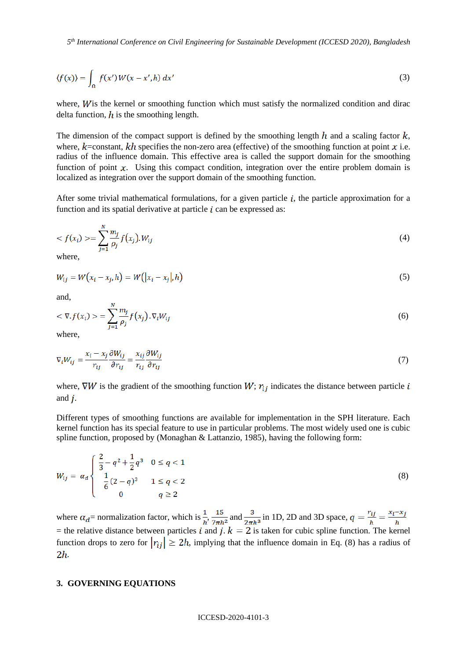*5 th International Conference on Civil Engineering for Sustainable Development (ICCESD 2020), Bangladesh*

$$
\langle f(x) \rangle = \int_{\Omega} f(x') W(x - x', h) dx' \tag{3}
$$

where,  $W$  is the kernel or smoothing function which must satisfy the normalized condition and dirac delta function,  $\hat{h}$  is the smoothing length.

The dimension of the compact support is defined by the smoothing length h and a scaling factor  $k$ , where,  $k$ =constant,  $kh$  specifies the non-zero area (effective) of the smoothing function at point x i.e. radius of the influence domain. This effective area is called the support domain for the smoothing function of point  $x$ . Using this compact condition, integration over the entire problem domain is localized as integration over the support domain of the smoothing function.

After some trivial mathematical formulations, for a given particle  $i$ , the particle approximation for a function and its spatial derivative at particle  $i$  can be expressed as:

$$
\langle f(x_i) \rangle = \sum_{j=1}^{N} \frac{m_j}{\rho_j} f(x_j). W_{ij} \tag{4}
$$

where,

$$
W_{ij} = W(x_i - x_j, h) = W(|x_i - x_j|, h)
$$
\n(5)

and,

$$
\langle \nabla f(x_i) \rangle = \sum_{j=1}^{N} \frac{m_j}{\rho_j} f(x_j) . \nabla_i W_{ij} \tag{6}
$$

where,

$$
\nabla_i W_{ij} = \frac{x_i - x_j}{r_{ij}} \frac{\partial W_{ij}}{\partial r_{ij}} = \frac{x_{ij}}{r_{ij}} \frac{\partial W_{ij}}{\partial r_{ij}}
$$
(7)

where,  $\nabla W$  is the gradient of the smoothing function  $W$ ;  $r_{ij}$  indicates the distance between particle i and  $\boldsymbol{j}$ .

Different types of smoothing functions are available for implementation in the SPH literature. Each kernel function has its special feature to use in particular problems. The most widely used one is cubic spline function, proposed by (Monaghan & Lattanzio, 1985), having the following form:

$$
W_{ij} = \alpha_d \begin{cases} \frac{2}{3} - q^2 + \frac{1}{2}q^3 & 0 \le q < 1 \\ \frac{1}{6}(2-q)^3 & 1 \le q < 2 \\ 0 & q \ge 2 \end{cases}
$$
 (8)

where  $\alpha_d$  = normalization factor, which is  $\frac{1}{h}$ ,  $\frac{15}{7\pi h^2}$  and  $\frac{3}{2\pi h^3}$  in 1D, 2D and 3D space,  $q = \frac{r_{ij}}{h} = \frac{x_i - x_j}{h}$ = the relative distance between particles *i* and *j*.  $k = 2$  is taken for cubic spline function. The kernel function drops to zero for  $|r_{ii}| \geq 2h$ , implying that the influence domain in Eq. (8) has a radius of  $2h$ .

### **3. GOVERNING EQUATIONS**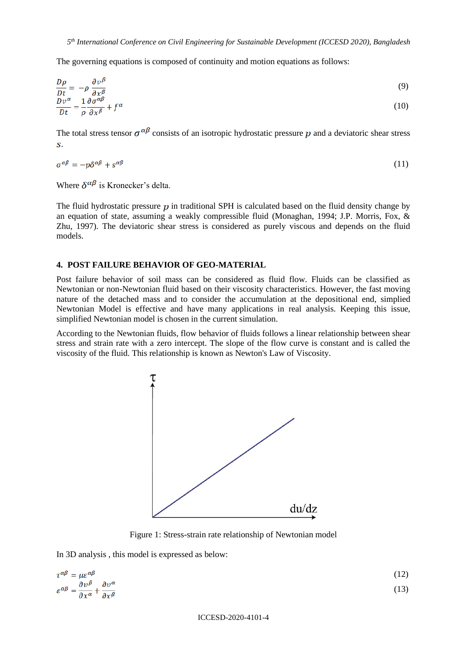The governing equations is composed of continuity and motion equations as follows:

$$
\frac{D\rho}{Dt} = -\rho \frac{\partial v^{\beta}}{\partial x^{\beta}}
$$
(9)

$$
\frac{Dv^{\alpha}}{Dt} = \frac{1}{\rho} \frac{\partial \sigma^{\alpha \rho}}{\partial x^{\beta}} + f^{\alpha} \tag{10}
$$

The total stress tensor  $\sigma^{\alpha\beta}$  consists of an isotropic hydrostatic pressure p and a deviatoric shear stress  $\overline{\mathbf{S}}$ .

$$
\sigma^{\alpha\beta} = -p\delta^{\alpha\beta} + s^{\alpha\beta} \tag{11}
$$

Where  $\delta^{\alpha\beta}$  is Kronecker's delta.

The fluid hydrostatic pressure  $p$  in traditional SPH is calculated based on the fluid density change by an equation of state, assuming a weakly compressible fluid (Monaghan, 1994; J.P. Morris, Fox, & Zhu, 1997). The deviatoric shear stress is considered as purely viscous and depends on the fluid models.

# **4. POST FAILURE BEHAVIOR OF GEO-MATERIAL**

Post failure behavior of soil mass can be considered as fluid flow. Fluids can be classified as Newtonian or non-Newtonian fluid based on their viscosity characteristics. However, the fast moving nature of the detached mass and to consider the accumulation at the depositional end, simplied Newtonian Model is effective and have many applications in real analysis. Keeping this issue, simplified Newtonian model is chosen in the current simulation.

According to the Newtonian fluids, flow behavior of fluids follows a linear relationship between shear stress and strain rate with a zero intercept. The slope of the flow curve is constant and is called the viscosity of the fluid. This relationship is known as Newton's Law of Viscosity.



Figure 1: Stress-strain rate relationship of Newtonian model

In 3D analysis , this model is expressed as below:

$$
\tau^{\alpha\beta} = \mu \varepsilon^{\alpha\beta} \n\varepsilon^{\alpha\beta} = \frac{\partial v^{\beta}}{\partial x^{\alpha}} + \frac{\partial v^{\alpha}}{\partial x^{\beta}}
$$
\n(12)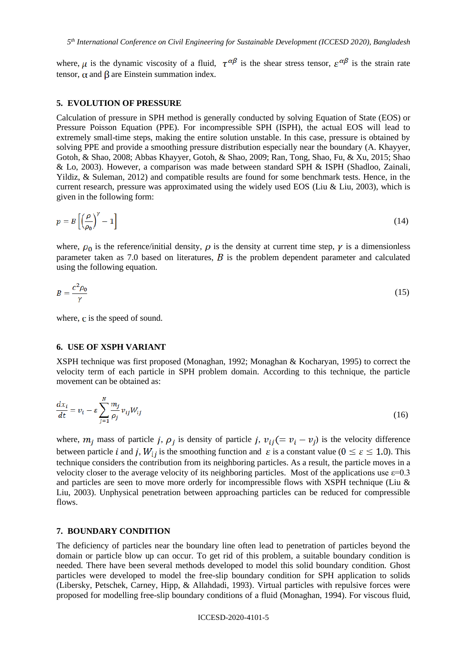where,  $\mu$  is the dynamic viscosity of a fluid,  $\tau^{\alpha\beta}$  is the shear stress tensor,  $\varepsilon^{\alpha\beta}$  is the strain rate tensor,  $\alpha$  and  $\beta$  are Einstein summation index.

#### **5. EVOLUTION OF PRESSURE**

Calculation of pressure in SPH method is generally conducted by solving Equation of State (EOS) or Pressure Poisson Equation (PPE). For incompressible SPH (ISPH), the actual EOS will lead to extremely small-time steps, making the entire solution unstable. In this case, pressure is obtained by solving PPE and provide a smoothing pressure distribution especially near the boundary (A. Khayyer, Gotoh, & Shao, 2008; Abbas Khayyer, Gotoh, & Shao, 2009; Ran, Tong, Shao, Fu, & Xu, 2015; Shao & Lo, 2003). However, a comparison was made between standard SPH & ISPH (Shadloo, Zainali, Yildiz, & Suleman, 2012) and compatible results are found for some benchmark tests. Hence, in the current research, pressure was approximated using the widely used EOS (Liu & Liu, 2003), which is given in the following form:

$$
p = B\left[\left(\frac{\rho}{\rho_0}\right)^{\gamma} - 1\right] \tag{14}
$$

where,  $\rho_0$  is the reference/initial density,  $\rho$  is the density at current time step,  $\gamma$  is a dimensionless parameter taken as 7.0 based on literatures,  $\vec{B}$  is the problem dependent parameter and calculated using the following equation.

$$
B = \frac{c^2 \rho_0}{\gamma} \tag{15}
$$

where,  $\bf{c}$  is the speed of sound.

### **6. USE OF XSPH VARIANT**

XSPH technique was first proposed (Monaghan, 1992; Monaghan & Kocharyan, 1995) to correct the velocity term of each particle in SPH problem domain. According to this technique, the particle movement can be obtained as:

$$
\frac{dx_i}{dt} = v_i - \varepsilon \sum_{j=1}^{N} \frac{m_j}{\rho_j} v_{ij} W_{ij}
$$
\n(16)

where,  $m_j$  mass of particle j,  $\rho_j$  is density of particle j,  $v_{ij} (= v_i - v_j)$  is the velocity difference between particle *i* and *j*,  $W_{ij}$  is the smoothing function and  $\varepsilon$  is a constant value ( $0 \le \varepsilon \le 1.0$ ). This technique considers the contribution from its neighboring particles. As a result, the particle moves in a velocity closer to the average velocity of its neighboring particles. Most of the applications use  $\varepsilon$ =0.3 and particles are seen to move more orderly for incompressible flows with XSPH technique (Liu & Liu, 2003). Unphysical penetration between approaching particles can be reduced for compressible flows.

#### **7. BOUNDARY CONDITION**

The deficiency of particles near the boundary line often lead to penetration of particles beyond the domain or particle blow up can occur. To get rid of this problem, a suitable boundary condition is needed. There have been several methods developed to model this solid boundary condition. Ghost particles were developed to model the free-slip boundary condition for SPH application to solids (Libersky, Petschek, Carney, Hipp, & Allahdadi, 1993). Virtual particles with repulsive forces were proposed for modelling free-slip boundary conditions of a fluid (Monaghan, 1994). For viscous fluid,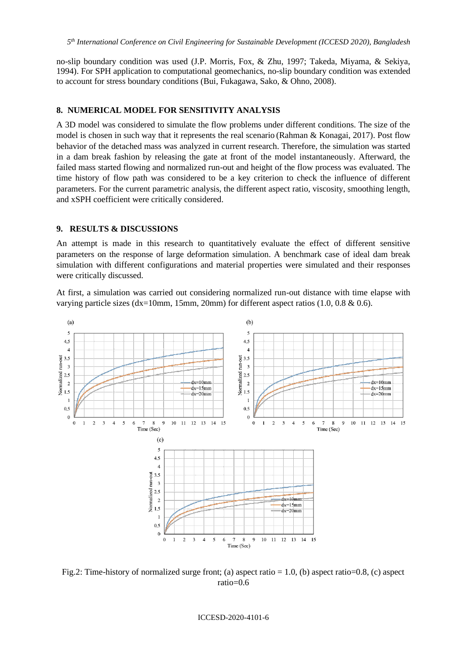no-slip boundary condition was used (J.P. Morris, Fox, & Zhu, 1997; Takeda, Miyama, & Sekiya, 1994). For SPH application to computational geomechanics, no-slip boundary condition was extended to account for stress boundary conditions (Bui, Fukagawa, Sako, & Ohno, 2008).

## **8. NUMERICAL MODEL FOR SENSITIVITY ANALYSIS**

A 3D model was considered to simulate the flow problems under different conditions. The size of the model is chosen in such way that it represents the real scenario (Rahman & Konagai, 2017). Post flow behavior of the detached mass was analyzed in current research. Therefore, the simulation was started in a dam break fashion by releasing the gate at front of the model instantaneously. Afterward, the failed mass started flowing and normalized run-out and height of the flow process was evaluated. The time history of flow path was considered to be a key criterion to check the influence of different parameters. For the current parametric analysis, the different aspect ratio, viscosity, smoothing length, and xSPH coefficient were critically considered.

# **9. RESULTS & DISCUSSIONS**

An attempt is made in this research to quantitatively evaluate the effect of different sensitive parameters on the response of large deformation simulation. A benchmark case of ideal dam break simulation with different configurations and material properties were simulated and their responses were critically discussed.

At first, a simulation was carried out considering normalized run-out distance with time elapse with varying particle sizes (dx=10mm, 15mm, 20mm) for different aspect ratios (1.0, 0.8 & 0.6).



Fig.2: Time-history of normalized surge front; (a) aspect ratio = 1.0, (b) aspect ratio=0.8, (c) aspect ratio=0.6

ICCESD-2020-4101-6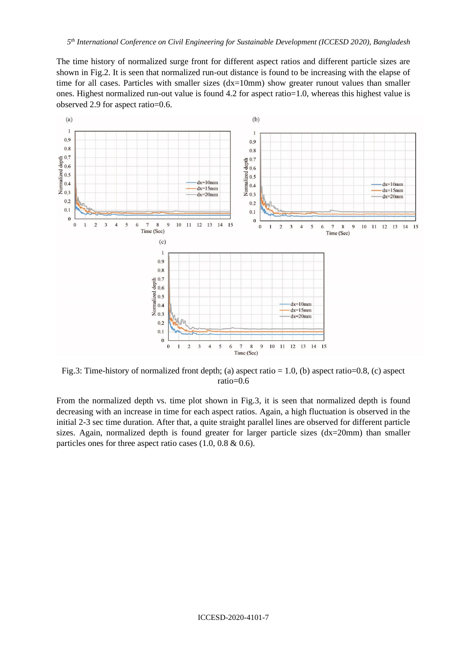The time history of normalized surge front for different aspect ratios and different particle sizes are shown in Fig.2. It is seen that normalized run-out distance is found to be increasing with the elapse of time for all cases. Particles with smaller sizes (dx=10mm) show greater runout values than smaller ones. Highest normalized run-out value is found 4.2 for aspect ratio=1.0, whereas this highest value is observed 2.9 for aspect ratio=0.6.



Fig.3: Time-history of normalized front depth; (a) aspect ratio = 1.0, (b) aspect ratio=0.8, (c) aspect ratio=0.6

From the normalized depth vs. time plot shown in Fig.3, it is seen that normalized depth is found decreasing with an increase in time for each aspect ratios. Again, a high fluctuation is observed in the initial 2-3 sec time duration. After that, a quite straight parallel lines are observed for different particle sizes. Again, normalized depth is found greater for larger particle sizes (dx=20mm) than smaller particles ones for three aspect ratio cases  $(1.0, 0.8 \& 0.6)$ .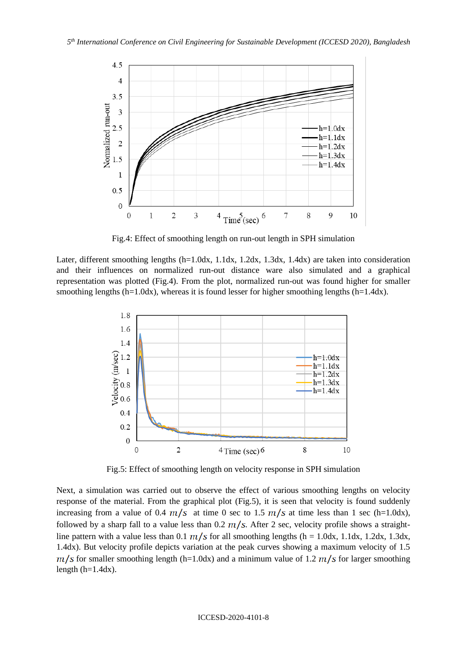

Fig.4: Effect of smoothing length on run-out length in SPH simulation

Later, different smoothing lengths (h=1.0dx, 1.1dx, 1.2dx, 1.3dx, 1.4dx) are taken into consideration and their influences on normalized run-out distance ware also simulated and a graphical representation was plotted (Fig.4). From the plot, normalized run-out was found higher for smaller smoothing lengths (h=1.0dx), whereas it is found lesser for higher smoothing lengths (h=1.4dx).



Fig.5: Effect of smoothing length on velocity response in SPH simulation

Next, a simulation was carried out to observe the effect of various smoothing lengths on velocity response of the material. From the graphical plot (Fig.5), it is seen that velocity is found suddenly increasing from a value of 0.4  $m/s$  at time 0 sec to 1.5  $m/s$  at time less than 1 sec (h=1.0dx), followed by a sharp fall to a value less than 0.2  $m/s$ . After 2 sec, velocity profile shows a straightline pattern with a value less than 0.1  $m/s$  for all smoothing lengths (h = 1.0dx, 1.1dx, 1.2dx, 1.3dx, 1.4dx). But velocity profile depicts variation at the peak curves showing a maximum velocity of 1.5  $m/s$  for smaller smoothing length (h=1.0dx) and a minimum value of 1.2  $m/s$  for larger smoothing length  $(h=1.4dx)$ .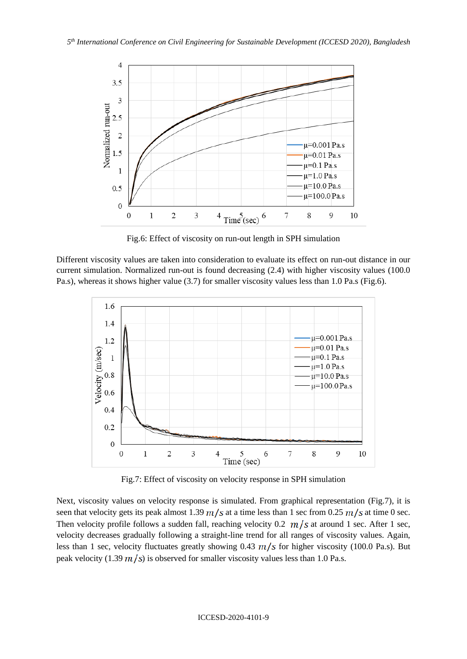

Fig.6: Effect of viscosity on run-out length in SPH simulation

Different viscosity values are taken into consideration to evaluate its effect on run-out distance in our current simulation. Normalized run-out is found decreasing (2.4) with higher viscosity values (100.0 Pa.s), whereas it shows higher value (3.7) for smaller viscosity values less than 1.0 Pa.s (Fig.6).



Fig.7: Effect of viscosity on velocity response in SPH simulation

Next, viscosity values on velocity response is simulated. From graphical representation (Fig.7), it is seen that velocity gets its peak almost 1.39  $m/s$  at a time less than 1 sec from 0.25  $m/s$  at time 0 sec. Then velocity profile follows a sudden fall, reaching velocity 0.2  $m/s$  at around 1 sec. After 1 sec, velocity decreases gradually following a straight-line trend for all ranges of viscosity values. Again, less than 1 sec, velocity fluctuates greatly showing 0.43  $m/s$  for higher viscosity (100.0 Pa.s). But peak velocity (1.39  $m/s$ ) is observed for smaller viscosity values less than 1.0 Pa.s.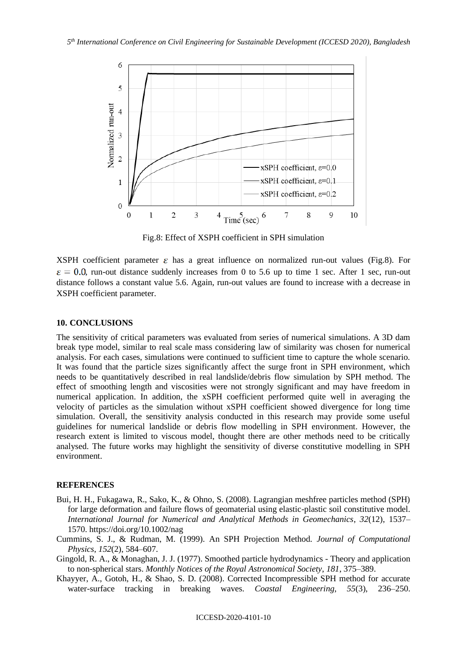

Fig.8: Effect of XSPH coefficient in SPH simulation

XSPH coefficient parameter  $\varepsilon$  has a great influence on normalized run-out values (Fig.8). For  $\varepsilon = 0.0$ , run-out distance suddenly increases from 0 to 5.6 up to time 1 sec. After 1 sec, run-out distance follows a constant value 5.6. Again, run-out values are found to increase with a decrease in XSPH coefficient parameter.

## **10. CONCLUSIONS**

The sensitivity of critical parameters was evaluated from series of numerical simulations. A 3D dam break type model, similar to real scale mass considering law of similarity was chosen for numerical analysis. For each cases, simulations were continued to sufficient time to capture the whole scenario. It was found that the particle sizes significantly affect the surge front in SPH environment, which needs to be quantitatively described in real landslide/debris flow simulation by SPH method. The effect of smoothing length and viscosities were not strongly significant and may have freedom in numerical application. In addition, the xSPH coefficient performed quite well in averaging the velocity of particles as the simulation without xSPH coefficient showed divergence for long time simulation. Overall, the sensitivity analysis conducted in this research may provide some useful guidelines for numerical landslide or debris flow modelling in SPH environment. However, the research extent is limited to viscous model, thought there are other methods need to be critically analysed. The future works may highlight the sensitivity of diverse constitutive modelling in SPH environment.

# **REFERENCES**

- Bui, H. H., Fukagawa, R., Sako, K., & Ohno, S. (2008). Lagrangian meshfree particles method (SPH) for large deformation and failure flows of geomaterial using elastic-plastic soil constitutive model. *International Journal for Numerical and Analytical Methods in Geomechanics*, *32*(12), 1537– 1570. https://doi.org/10.1002/nag
- Cummins, S. J., & Rudman, M. (1999). An SPH Projection Method. *Journal of Computational Physics*, *152*(2), 584–607.
- Gingold, R. A., & Monaghan, J. J. (1977). Smoothed particle hydrodynamics Theory and application to non-spherical stars. *Monthly Notices of the Royal Astronomical Society*, *181*, 375–389.
- Khayyer, A., Gotoh, H., & Shao, S. D. (2008). Corrected Incompressible SPH method for accurate water-surface tracking in breaking waves. *Coastal Engineering*, *55*(3), 236–250.